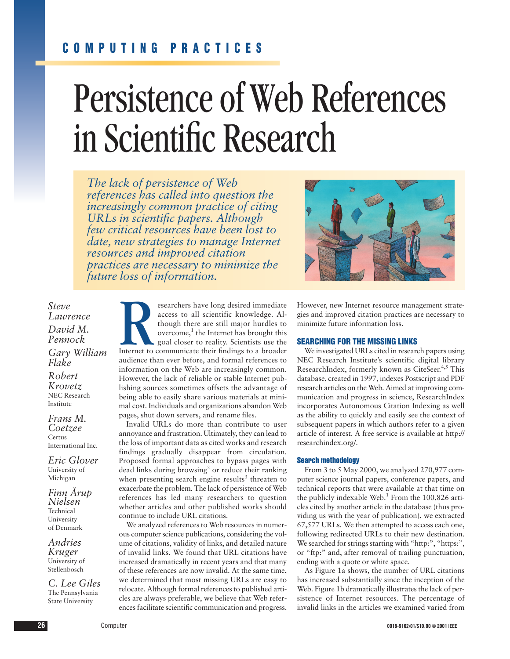# Persistence of Web References in Scientific Research

*The lack of persistence of Web references has called into question the increasingly common practice of citing URLs in scientific papers. Although few critical resources have been lost to date, new strategies to manage Internet resources and improved citation practices are necessary to minimize the future loss of information.* 



*Steve Lawrence David M. Pennock Gary William Flake Robert Krovetz* NEC Research Institute

*Frans M. Coetzee* Certus International Inc.

*Eric Glover* University of Michigan

*Finn Årup Nielsen* Technical University of Denmark

*Andries Kruger* University of Stellenbosch

*C. Lee Giles* The Pennsylvania State University

EN exerchers have long desired immediate<br>
access to all scientific knowledge. Al-<br>
though there are still major hurdles to<br>
overcome,<sup>1</sup> the Internet has brought this<br>
goal closer to reality. Scientists use the<br>
Internet t access to all scientific knowledge. Although there are still major hurdles to overcome, $<sup>1</sup>$  the Internet has brought this</sup> goal closer to reality. Scientists use the audience than ever before, and formal references to information on the Web are increasingly common. However, the lack of reliable or stable Internet publishing sources sometimes offsets the advantage of being able to easily share various materials at minimal cost. Individuals and organizations abandon Web pages, shut down servers, and rename files.

Invalid URLs do more than contribute to user annoyance and frustration. Ultimately, they can lead to the loss of important data as cited works and research findings gradually disappear from circulation. Proposed formal approaches to bypass pages with dead links during browsing<sup>2</sup> or reduce their ranking when presenting search engine results<sup>3</sup> threaten to exacerbate the problem. The lack of persistence of Web references has led many researchers to question whether articles and other published works should continue to include URL citations.

We analyzed references to Web resources in numerous computer science publications, considering the volume of citations, validity of links, and detailed nature of invalid links. We found that URL citations have increased dramatically in recent years and that many of these references are now invalid. At the same time, we determined that most missing URLs are easy to relocate. Although formal references to published articles are always preferable, we believe that Web references facilitate scientific communication and progress. However, new Internet resource management strategies and improved citation practices are necessary to minimize future information loss.

## **SEARCHING FOR THE MISSING LINKS**

We investigated URLs cited in research papers using NEC Research Institute's scientific digital library ResearchIndex, formerly known as CiteSeer.<sup>4,5</sup> This database, created in 1997, indexes Postscript and PDF research articles on the Web. Aimed at improving communication and progress in science, ResearchIndex incorporates Autonomous Citation Indexing as well as the ability to quickly and easily see the context of subsequent papers in which authors refer to a given article of interest. A free service is available at http:// researchindex.org/.

## Search methodology

From 3 to 5 May 2000, we analyzed 270,977 computer science journal papers, conference papers, and technical reports that were available at that time on the publicly indexable Web.<sup>1</sup> From the  $100,826$  articles cited by another article in the database (thus providing us with the year of publication), we extracted 67,577 URLs. We then attempted to access each one, following redirected URLs to their new destination. We searched for strings starting with "http:", "https:", or "ftp:" and, after removal of trailing punctuation, ending with a quote or white space.

As Figure 1a shows, the number of URL citations has increased substantially since the inception of the Web. Figure 1b dramatically illustrates the lack of persistence of Internet resources. The percentage of invalid links in the articles we examined varied from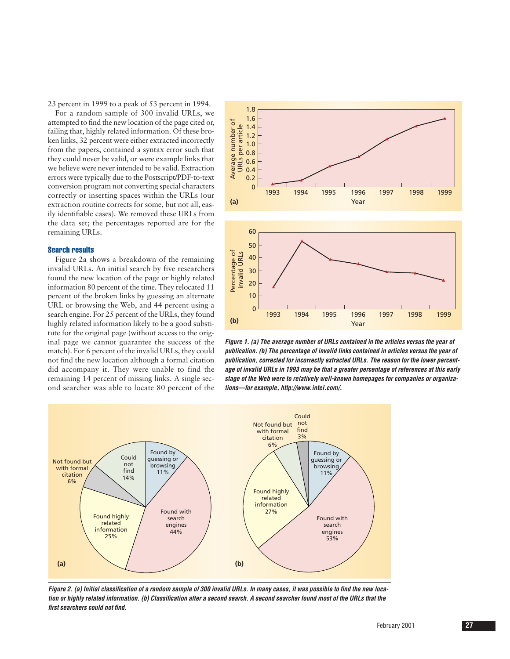23 percent in 1999 to a peak of 53 percent in 1994.

For a random sample of 300 invalid URLs, we attempted to find the new location of the page cited or, failing that, highly related information. Of these broken links, 32 percent were either extracted incorrectly from the papers, contained a syntax error such that they could never be valid, or were example links that we believe were never intended to be valid. Extraction errors were typically due to the Postscript/PDF-to-text conversion program not converting special characters correctly or inserting spaces within the URLs (our extraction routine corrects for some, but not all, easily identifiable cases). We removed these URLs from the data set; the percentages reported are for the remaining URLs.

### Search results

Figure 2a shows a breakdown of the remaining invalid URLs. An initial search by five researchers found the new location of the page or highly related information 80 percent of the time. They relocated 11 percent of the broken links by guessing an alternate URL or browsing the Web, and 44 percent using a search engine. For 25 percent of the URLs, they found highly related information likely to be a good substitute for the original page (without access to the original page we cannot guarantee the success of the match). For 6 percent of the invalid URLs, they could not find the new location although a formal citation did accompany it. They were unable to find the remaining 14 percent of missing links. A single second searcher was able to locate 80 percent of the



*Figure 1. (a) The average number of URLs contained in the articles versus the year of publication. (b) The percentage of invalid links contained in articles versus the year of publication, corrected for incorrectly extracted URLs. The reason for the lower percentage of invalid URLs in 1993 may be that a greater percentage of references at this early stage of the Web were to relatively well-known homepages for companies or organizations—for example, http://www.intel.com/.* 



*Figure 2. (a) Initial classification of a random sample of 300 invalid URLs. In many cases, it was possible to find the new location or highly related information. (b) Classification after a second search. A second searcher found most of the URLs that the first searchers could not find.*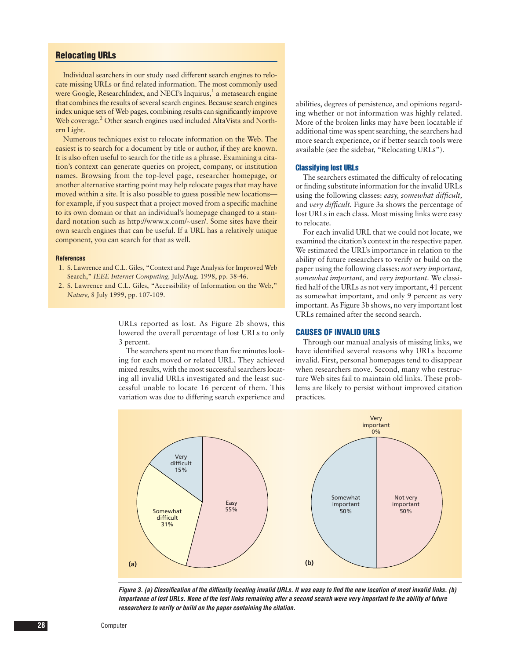# **Relocating URLs**

Individual searchers in our study used different search engines to relocate missing URLs or find related information. The most commonly used were Google, ResearchIndex, and NECI's Inquirus,<sup>1</sup> a metasearch engine that combines the results of several search engines. Because search engines index unique sets of Web pages, combining results can significantly improve Web coverage.<sup>2</sup> Other search engines used included AltaVista and Northern Light.

Numerous techniques exist to relocate information on the Web. The easiest is to search for a document by title or author, if they are known. It is also often useful to search for the title as a phrase. Examining a citation's context can generate queries on project, company, or institution names. Browsing from the top-level page, researcher homepage, or another alternative starting point may help relocate pages that may have moved within a site. It is also possible to guess possible new locations for example, if you suspect that a project moved from a specific machine to its own domain or that an individual's homepage changed to a standard notation such as http://www.x.com/~user/. Some sites have their own search engines that can be useful. If a URL has a relatively unique component, you can search for that as well.

### **References**

- 1. S. Lawrence and C.L. Giles, "Context and Page Analysis for Improved Web Search," *IEEE Internet Computing,* July/Aug. 1998, pp. 38-46.
- 2. S. Lawrence and C.L. Giles, "Accessibility of Information on the Web," *Nature,* 8 July 1999, pp. 107-109.

URLs reported as lost. As Figure 2b shows, this lowered the overall percentage of lost URLs to only 3 percent.

The searchers spent no more than five minutes looking for each moved or related URL. They achieved mixed results, with the most successful searchers locating all invalid URLs investigated and the least successful unable to locate 16 percent of them. This variation was due to differing search experience and abilities, degrees of persistence, and opinions regarding whether or not information was highly related. More of the broken links may have been locatable if additional time was spent searching, the searchers had more search experience, or if better search tools were available (see the sidebar, "Relocating URLs").

### Classifying lost URLs

The searchers estimated the difficulty of relocating or finding substitute information for the invalid URLs using the following classes: *easy, somewhat difficult,* and *very difficult.* Figure 3a shows the percentage of lost URLs in each class. Most missing links were easy to relocate.

For each invalid URL that we could not locate, we examined the citation's context in the respective paper. We estimated the URL's importance in relation to the ability of future researchers to verify or build on the paper using the following classes: *not very important, somewhat important,* and *very important.* We classified half of the URLs as not very important, 41 percent as somewhat important, and only 9 percent as very important. As Figure 3b shows, no very important lost URLs remained after the second search.

### **CAUSES OF INVALID URLS**

Through our manual analysis of missing links, we have identified several reasons why URLs become invalid. First, personal homepages tend to disappear when researchers move. Second, many who restructure Web sites fail to maintain old links. These problems are likely to persist without improved citation practices.



*Figure 3. (a) Classification of the difficulty locating invalid URLs. It was easy to find the new location of most invalid links. (b) Importance of lost URLs. None of the lost links remaining after a second search were very important to the ability of future researchers to verify or build on the paper containing the citation.*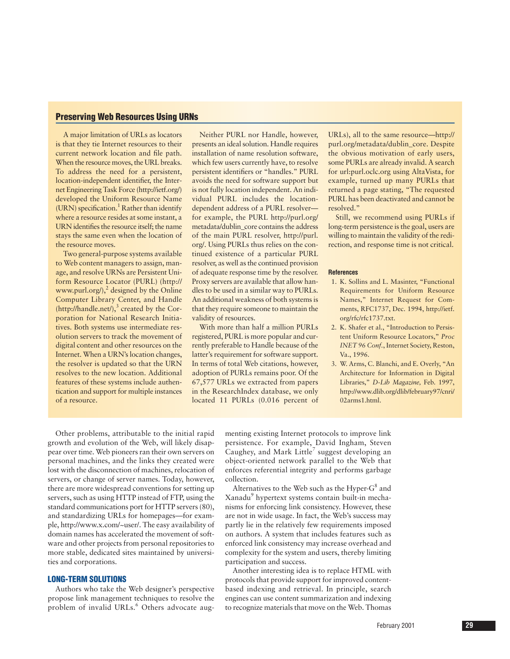# **Preserving Web Resources Using URNs**

A major limitation of URLs as locators is that they tie Internet resources to their current network location and file path. When the resource moves, the URL breaks. To address the need for a persistent, location-independent identifier, the Internet Engineering Task Force (http://ietf.org/) developed the Uniform Resource Name (URN) specification.<sup>1</sup> Rather than identify where a resource resides at some instant, a URN identifies the resource itself; the name stays the same even when the location of the resource moves.

Two general-purpose systems available to Web content managers to assign, manage, and resolve URNs are Persistent Uniform Resource Locator (PURL) (http:// www.purl.org/ $)$ ,<sup>2</sup> designed by the Online Computer Library Center, and Handle  $(http://handle.net/),^3$  created by the Corporation for National Research Initiatives. Both systems use intermediate resolution servers to track the movement of digital content and other resources on the Internet. When a URN's location changes, the resolver is updated so that the URN resolves to the new location. Additional features of these systems include authentication and support for multiple instances of a resource.

Neither PURL nor Handle, however, presents an ideal solution. Handle requires installation of name resolution software, which few users currently have, to resolve persistent identifiers or "handles." PURL avoids the need for software support but is not fully location independent. An individual PURL includes the locationdependent address of a PURL resolver for example, the PURL http://purl.org/ metadata/dublin\_core contains the address of the main PURL resolver, http://purl. org/. Using PURLs thus relies on the continued existence of a particular PURL resolver, as well as the continued provision of adequate response time by the resolver. Proxy servers are available that allow handles to be used in a similar way to PURLs. An additional weakness of both systems is that they require someone to maintain the validity of resources.

With more than half a million PURLs registered, PURL is more popular and currently preferable to Handle because of the latter's requirement for software support. In terms of total Web citations, however, adoption of PURLs remains poor. Of the 67,577 URLs we extracted from papers in the ResearchIndex database, we only located 11 PURLs (0.016 percent of URLs), all to the same resource—http:// purl.org/metadata/dublin\_core. Despite the obvious motivation of early users, some PURLs are already invalid. A search for url:purl.oclc.org using AltaVista, for example, turned up many PURLs that returned a page stating, "The requested PURL has been deactivated and cannot be resolved."

Still, we recommend using PURLs if long-term persistence is the goal, users are willing to maintain the validity of the redirection, and response time is not critical.

### **References**

- 1. K. Sollins and L. Masinter, "Functional Requirements for Uniform Resource Names," Internet Request for Comments, RFC1737, Dec. 1994, http://ietf. org/rfc/rfc1737.txt.
- 2. K. Shafer et al., "Introduction to Persistent Uniform Resource Locators," *Proc INET 96 Conf.*, Internet Society, Reston, Va., 1996.
- 3. W. Arms, C. Blanchi, and E. Overly, "An Architecture for Information in Digital Libraries," *D-Lib Magazine,* Feb. 1997, http://www.dlib.org/dlib/february97/cnri/ 02arms1.html.

Other problems, attributable to the initial rapid growth and evolution of the Web, will likely disappear over time. Web pioneers ran their own servers on personal machines, and the links they created were lost with the disconnection of machines, relocation of servers, or change of server names. Today, however, there are more widespread conventions for setting up servers, such as using HTTP instead of FTP, using the standard communications port for HTTP servers (80), and standardizing URLs for homepages—for example, http://www.x.com/~user/. The easy availability of domain names has accelerated the movement of software and other projects from personal repositories to more stable, dedicated sites maintained by universities and corporations.

# **LONG-TERM SOLUTIONS**

Authors who take the Web designer's perspective propose link management techniques to resolve the problem of invalid URLs.<sup>6</sup> Others advocate aug-

menting existing Internet protocols to improve link persistence. For example, David Ingham, Steven Caughey, and Mark Little<sup>7</sup> suggest developing an object-oriented network parallel to the Web that enforces referential integrity and performs garbage collection.

Alternatives to the Web such as the Hyper- $G^8$  and Xanadu9 hypertext systems contain built-in mechanisms for enforcing link consistency. However, these are not in wide usage. In fact, the Web's success may partly lie in the relatively few requirements imposed on authors. A system that includes features such as enforced link consistency may increase overhead and complexity for the system and users, thereby limiting participation and success.

Another interesting idea is to replace HTML with protocols that provide support for improved contentbased indexing and retrieval. In principle, search engines can use content summarization and indexing to recognize materials that move on the Web. Thomas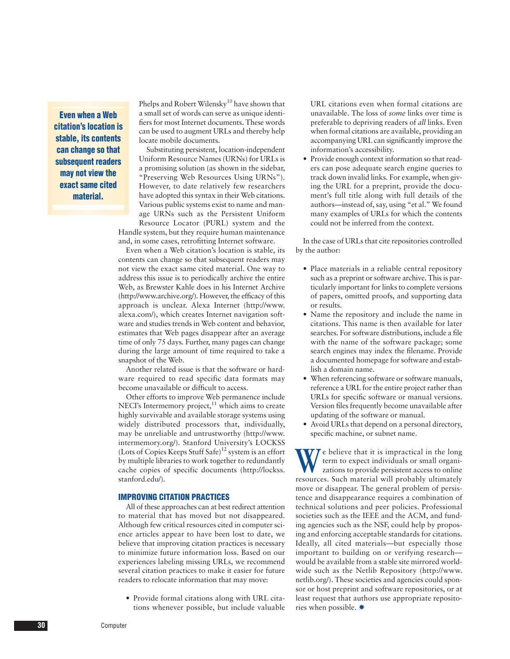**Even when a Web citation's location is stable, its contents can change so that subsequent readers may not view the exact same cited material.**

Phelps and Robert Wilensky<sup>10</sup> have shown that a small set of words can serve as unique identifiers for most Internet documents. These words can be used to augment URLs and thereby help locate mobile documents.

Substituting persistent, location-independent Uniform Resource Names (URNs) for URLs is a promising solution (as shown in the sidebar, "Preserving Web Resources Using URNs"). However, to date relatively few researchers have adopted this syntax in their Web citations. Various public systems exist to name and manage URNs such as the Persistent Uniform Resource Locator (PURL) system and the

Handle system, but they require human maintenance and, in some cases, retrofitting Internet software.

Even when a Web citation's location is stable, its contents can change so that subsequent readers may not view the exact same cited material. One way to address this issue is to periodically archive the entire Web, as Brewster Kahle does in his Internet Archive (http://www.archive.org/). However, the efficacy of this approach is unclear. Alexa Internet (http://www. alexa.com/), which creates Internet navigation software and studies trends in Web content and behavior, estimates that Web pages disappear after an average time of only 75 days. Further, many pages can change during the large amount of time required to take a snapshot of the Web.

Another related issue is that the software or hardware required to read specific data formats may become unavailable or difficult to access.

Other efforts to improve Web permanence include NECI's Intermemory project,<sup>11</sup> which aims to create highly survivable and available storage systems using widely distributed processors that, individually, may be unreliable and untrustworthy (http://www. intermemory.org/). Stanford University's LOCKSS (Lots of Copies Keeps Stuff Safe)<sup>12</sup> system is an effort by multiple libraries to work together to redundantly cache copies of specific documents (http://lockss. stanford.edu/).

# **IMPROVING CITATION PRACTICES**

All of these approaches can at best redirect attention to material that has moved but not disappeared. Although few critical resources cited in computer science articles appear to have been lost to date, we believe that improving citation practices is necessary to minimize future information loss. Based on our experiences labeling missing URLs, we recommend several citation practices to make it easier for future readers to relocate information that may move:

• Provide formal citations along with URL citations whenever possible, but include valuable URL citations even when formal citations are unavailable. The loss of *some* links over time is preferable to depriving readers of *all* links. Even when formal citations are available, providing an accompanying URL can significantly improve the information's accessibility.

• Provide enough context information so that readers can pose adequate search engine queries to track down invalid links. For example, when giving the URL for a preprint, provide the document's full title along with full details of the authors—instead of, say, using "et al." We found many examples of URLs for which the contents could not be inferred from the context.

In the case of URLs that cite repositories controlled by the author:

- Place materials in a reliable central repository such as a preprint or software archive. This is particularly important for links to complete versions of papers, omitted proofs, and supporting data or results.
- Name the repository and include the name in citations. This name is then available for later searches. For software distributions, include a file with the name of the software package; some search engines may index the filename. Provide a documented homepage for software and establish a domain name.
- When referencing software or software manuals, reference a URL for the entire project rather than URLs for specific software or manual versions. Version files frequently become unavailable after updating of the software or manual.
- Avoid URLs that depend on a personal directory, specific machine, or subnet name.

 $\mathbf{\Sigma}$  believe that it is impractical in the long term to expect individuals or small organizations to provide persistent access to online resources. Such material will probably ultimately move or disappear. The general problem of persistence and disappearance requires a combination of technical solutions and peer policies. Professional societies such as the IEEE and the ACM, and funding agencies such as the NSF, could help by proposing and enforcing acceptable standards for citations. Ideally, all cited materials—but especially those important to building on or verifying research would be available from a stable site mirrored worldwide such as the Netlib Repository (http://www. netlib.org/). These societies and agencies could sponsor or host preprint and software repositories, or at least request that authors use appropriate repositories when possible. ✸